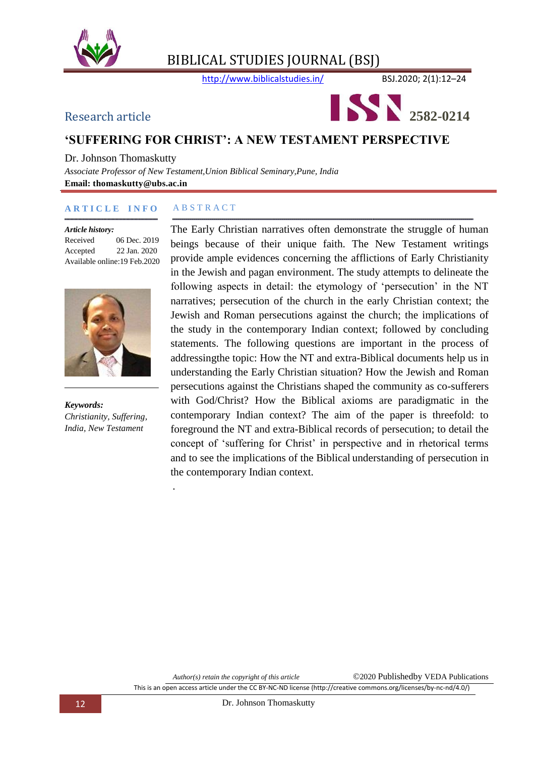

http://www.biblicalstudies.in/ BSJ.2020; 2(1):12–24



#### **'SUFFERING FOR CHRIST': A NEW TESTAMENT PERSPECTIVE**

Dr. Johnson Thomaskutty *Associate Professor of New Testament,Union Biblical Seminary,Pune, India*

*.*

**Email: thomaskutty@ubs.ac.in**

#### **A R T I C L E I N F O** A B S T R A C T

#### *Article history:*

Received 06 Dec. 2019 Accepted 22 Jan. 2020 Available online:19 Feb.2020



*Keywords: Christianity, Suffering, India, New Testament*

The Early Christian narratives often demonstrate the struggle of human beings because of their unique faith. The New Testament writings provide ample evidences concerning the afflictions of Early Christianity in the Jewish and pagan environment. The study attempts to delineate the following aspects in detail: the etymology of 'persecution' in the NT narratives; persecution of the church in the early Christian context; the Jewish and Roman persecutions against the church; the implications of the study in the contemporary Indian context; followed by concluding statements. The following questions are important in the process of addressingthe topic: How the NT and extra-Biblical documents help us in understanding the Early Christian situation? How the Jewish and Roman persecutions against the Christians shaped the community as co-sufferers with God/Christ? How the Biblical axioms are paradigmatic in the contemporary Indian context? The aim of the paper is threefold: to foreground the NT and extra-Biblical records of persecution; to detail the concept of "suffering for Christ" in perspective and in rhetorical terms and to see the implications of the Biblical understanding of persecution in the contemporary Indian context.

*Author(s) retain the copyright of this article* ©2020 Publishedby VEDA Publications This is an open access article under the CC BY-NC-ND license (http://creative commons.org/licenses/by-nc-nd/4.0/)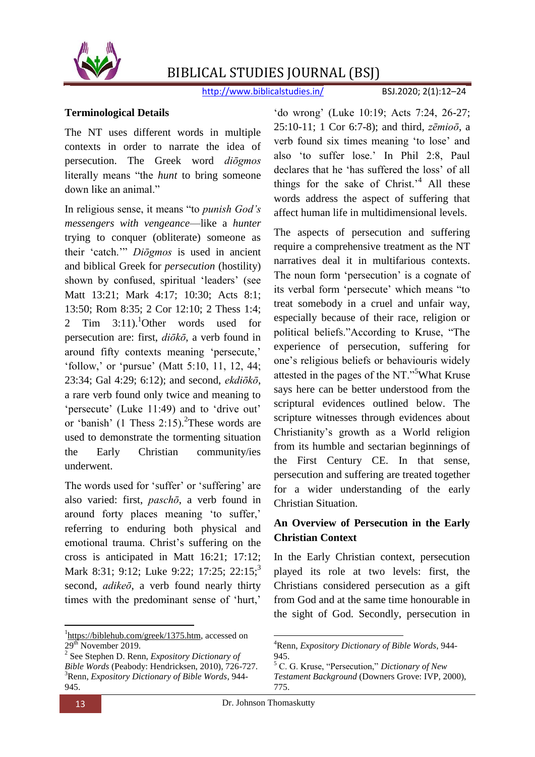

http://www.biblicalstudies.in/ BSJ.2020; 2(1):12-24

#### **Terminological Details**

The NT uses different words in multiple contexts in order to narrate the idea of persecution. The Greek word *diōgmos*  literally means "the *hunt* to bring someone down like an animal."

In religious sense, it means "to *punish God's messengers with vengeance*—like a *hunter* trying to conquer (obliterate) someone as their "catch."" *Diōgmos* is used in ancient and biblical Greek for *persecution* (hostility) shown by confused, spiritual 'leaders' (see Matt 13:21; Mark 4:17; 10:30; Acts 8:1; 13:50; Rom 8:35; 2 Cor 12:10; 2 Thess 1:4; 2 Tim  $3:11$ .<sup>1</sup>Other words used for persecution are: first, *diōkō*, a verb found in around fifty contexts meaning "persecute," 'follow,' or 'pursue' (Matt  $5:10$ ,  $11$ ,  $12$ ,  $44$ ; 23:34; Gal 4:29; 6:12); and second, *ekdiōkō*, a rare verb found only twice and meaning to 'persecute' (Luke 11:49) and to 'drive out' or 'banish' (1 Thess  $2:15$ ).<sup>2</sup>These words are used to demonstrate the tormenting situation the Early Christian community/ies underwent.

The words used for 'suffer' or 'suffering' are also varied: first, *paschō*, a verb found in around forty places meaning "to suffer," referring to enduring both physical and emotional trauma. Christ"s suffering on the cross is anticipated in Matt 16:21; 17:12; Mark 8:31; 9:12; Luke 9:22; 17:25; 22:15;<sup>3</sup> second, *adikeō*, a verb found nearly thirty times with the predominant sense of 'hurt,'

1

'do wrong' (Luke 10:19; Acts 7:24, 26-27; 25:10-11; 1 Cor 6:7-8); and third, *zēmioō*, a verb found six times meaning "to lose" and also "to suffer lose." In Phil 2:8, Paul declares that he "has suffered the loss" of all things for the sake of Christ.<sup> $4$ </sup> All these words address the aspect of suffering that affect human life in multidimensional levels.

The aspects of persecution and suffering require a comprehensive treatment as the NT narratives deal it in multifarious contexts. The noun form 'persecution' is a cognate of its verbal form 'persecute' which means "to treat somebody in a cruel and unfair way, especially because of their race, religion or political beliefs."According to Kruse, "The experience of persecution, suffering for one"s religious beliefs or behaviouris widely attested in the pages of the NT."<sup>5</sup>What Kruse says here can be better understood from the scriptural evidences outlined below. The scripture witnesses through evidences about Christianity"s growth as a World religion from its humble and sectarian beginnings of the First Century CE. In that sense, persecution and suffering are treated together for a wider understanding of the early Christian Situation.

#### **An Overview of Persecution in the Early Christian Context**

In the Early Christian context, persecution played its role at two levels: first, the Christians considered persecution as a gift from God and at the same time honourable in the sight of God. Secondly, persecution in

<sup>&</sup>lt;sup>1</sup>[https://biblehub.com/greek/1375.htm,](https://biblehub.com/greek/1375.htm) accessed on 29<sup>th</sup> November 2019.

<sup>2</sup> See Stephen D. Renn, *Expository Dictionary of Bible Words* (Peabody: Hendricksen, 2010), 726-727. <sup>3</sup>Renn, *Expository Dictionary of Bible Words*, 944- 945.

<sup>1</sup> <sup>4</sup>Renn, *Expository Dictionary of Bible Words*, 944- 945.

<sup>5</sup> C. G. Kruse, "Persecution," *Dictionary of New* 

*Testament Background* (Downers Grove: IVP, 2000), 775.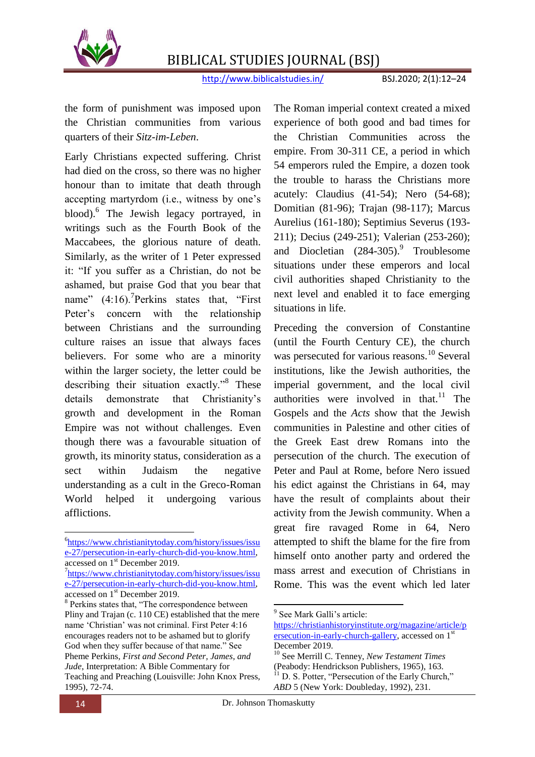

http://www.biblicalstudies.in/ BSJ.2020; 2(1):12–24

the form of punishment was imposed upon the Christian communities from various quarters of their *Sitz-im-Leben*.

Early Christians expected suffering. Christ had died on the cross, so there was no higher honour than to imitate that death through accepting martyrdom (i.e., witness by one"s blood).<sup>6</sup> The Jewish legacy portrayed, in writings such as the Fourth Book of the Maccabees, the glorious nature of death. Similarly, as the writer of 1 Peter expressed it: "If you suffer as a Christian, do not be ashamed, but praise God that you bear that name"  $(4:16)$ .<sup>7</sup>Perkins states that, "First Peter's concern with the relationship between Christians and the surrounding culture raises an issue that always faces believers. For some who are a minority within the larger society, the letter could be describing their situation exactly."<sup>8</sup> These details demonstrate that Christianity's growth and development in the Roman Empire was not without challenges. Even though there was a favourable situation of growth, its minority status, consideration as a sect within Judaism the negative understanding as a cult in the Greco-Roman World helped it undergoing various afflictions.

The Roman imperial context created a mixed experience of both good and bad times for the Christian Communities across the empire. From 30-311 CE, a period in which 54 emperors ruled the Empire, a dozen took the trouble to harass the Christians more acutely: Claudius (41-54); Nero (54-68); Domitian (81-96); Trajan (98-117); Marcus Aurelius (161-180); Septimius Severus (193- 211); Decius (249-251); Valerian (253-260); and Diocletian  $(284-305)$ .<sup>9</sup> Troublesome situations under these emperors and local civil authorities shaped Christianity to the next level and enabled it to face emerging situations in life.

Preceding the conversion of Constantine (until the Fourth Century CE), the church was persecuted for various reasons.<sup>10</sup> Several institutions, like the Jewish authorities, the imperial government, and the local civil authorities were involved in that. $11$  The Gospels and the *Acts* show that the Jewish communities in Palestine and other cities of the Greek East drew Romans into the persecution of the church. The execution of Peter and Paul at Rome, before Nero issued his edict against the Christians in 64, may have the result of complaints about their activity from the Jewish community. When a great fire ravaged Rome in 64, Nero attempted to shift the blame for the fire from himself onto another party and ordered the mass arrest and execution of Christians in Rome. This was the event which led later

<sup>6</sup> [https://www.christianitytoday.com/history/issues/issu](https://www.christianitytoday.com/history/issues/issue-27/persecution-in-early-church-did-you-know.html) [e-27/persecution-in-early-church-did-you-know.html,](https://www.christianitytoday.com/history/issues/issue-27/persecution-in-early-church-did-you-know.html)  accessed on 1st December 2019.

<sup>&</sup>lt;sup>7</sup>[https://www.christianitytoday.com/history/issues/issu](https://www.christianitytoday.com/history/issues/issue-27/persecution-in-early-church-did-you-know.html) [e-27/persecution-in-early-church-did-you-know.html,](https://www.christianitytoday.com/history/issues/issue-27/persecution-in-early-church-did-you-know.html)  accessed on 1<sup>st</sup> December 2019.

<sup>&</sup>lt;sup>8</sup> Perkins states that, "The correspondence between Pliny and Trajan (c. 110 CE) established that the mere name "Christian" was not criminal. First Peter 4:16 encourages readers not to be ashamed but to glorify God when they suffer because of that name." See Pheme Perkins*, First and Second Peter, James, and Jude*, Interpretation: A Bible Commentary for Teaching and Preaching (Louisville: John Knox Press, 1995), 72-74.

<sup>1</sup> <sup>9</sup> See Mark Galli's article:

[https://christianhistoryinstitute.org/magazine/article/p](https://christianhistoryinstitute.org/magazine/article/persecution-in-early-church-gallery) [ersecution-in-early-church-gallery,](https://christianhistoryinstitute.org/magazine/article/persecution-in-early-church-gallery) accessed on 1<sup>st</sup> December 2019.

<sup>10</sup> See Merrill C. Tenney, *New Testament Times* (Peabody: Hendrickson Publishers, 1965), 163.  $11$  D. S. Potter, "Persecution of the Early Church," *ABD* 5 (New York: Doubleday, 1992), 231.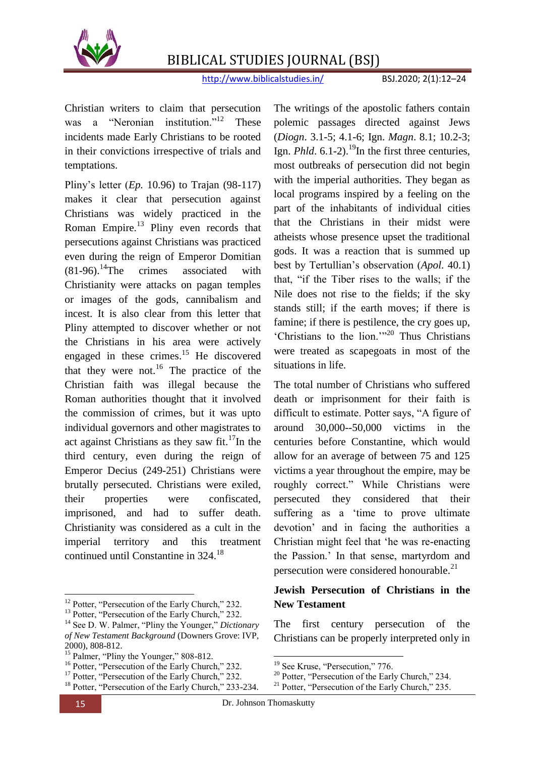

http://www.biblicalstudies.in/ BSJ.2020; 2(1):12–24

Christian writers to claim that persecution was a "Neronian institution."<sup>12</sup> These incidents made Early Christians to be rooted in their convictions irrespective of trials and temptations.

Pliny"s letter (*Ep.* 10.96) to Trajan (98-117) makes it clear that persecution against Christians was widely practiced in the Roman Empire.<sup>13</sup> Pliny even records that persecutions against Christians was practiced even during the reign of Emperor Domitian  $(81-96).$ <sup>14</sup>The crimes associated with Christianity were attacks on pagan temples or images of the gods, cannibalism and incest. It is also clear from this letter that Pliny attempted to discover whether or not the Christians in his area were actively engaged in these crimes.<sup>15</sup> He discovered that they were not.<sup>16</sup> The practice of the Christian faith was illegal because the Roman authorities thought that it involved the commission of crimes, but it was upto individual governors and other magistrates to act against Christians as they saw fit.<sup>17</sup>In the third century, even during the reign of Emperor Decius (249-251) Christians were brutally persecuted. Christians were exiled, their properties were confiscated, imprisoned, and had to suffer death. Christianity was considered as a cult in the imperial territory and this treatment continued until Constantine in 324.<sup>18</sup>

 $\overline{a}$ 

The writings of the apostolic fathers contain polemic passages directed against Jews (*Diogn*. 3.1-5; 4.1-6; Ign. *Magn*. 8.1; 10.2-3; Ign. *Phld*.  $6.1-2$ .<sup>19</sup>In the first three centuries, most outbreaks of persecution did not begin with the imperial authorities. They began as local programs inspired by a feeling on the part of the inhabitants of individual cities that the Christians in their midst were atheists whose presence upset the traditional gods. It was a reaction that is summed up best by Tertullian"s observation (*Apol*. 40.1) that, "if the Tiber rises to the walls; if the Nile does not rise to the fields; if the sky stands still; if the earth moves; if there is famine; if there is pestilence, the cry goes up, "Christians to the lion.""<sup>20</sup> Thus Christians were treated as scapegoats in most of the situations in life.

The total number of Christians who suffered death or imprisonment for their faith is difficult to estimate. Potter says, "A figure of around 30,000--50,000 victims in the centuries before Constantine, which would allow for an average of between 75 and 125 victims a year throughout the empire, may be roughly correct." While Christians were persecuted they considered that their suffering as a 'time to prove ultimate devotion" and in facing the authorities a Christian might feel that "he was re-enacting the Passion." In that sense, martyrdom and persecution were considered honourable.<sup>21</sup>

#### **Jewish Persecution of Christians in the New Testament**

The first century persecution of the Christians can be properly interpreted only in

 $\overline{a}$ 

<sup>&</sup>lt;sup>12</sup> Potter, "Persecution of the Early Church," 232.

<sup>&</sup>lt;sup>13</sup> Potter, "Persecution of the Early Church," 232.

<sup>14</sup> See D. W. Palmer, "Pliny the Younger," *Dictionary of New Testament Background* (Downers Grove: IVP, 2000), 808-812.

<sup>&</sup>lt;sup>15</sup> Palmer, "Pliny the Younger," 808-812.

<sup>&</sup>lt;sup>16</sup> Potter, "Persecution of the Early Church," 232.

<sup>&</sup>lt;sup>17</sup> Potter, "Persecution of the Early Church," 232.

<sup>&</sup>lt;sup>18</sup> Potter, "Persecution of the Early Church," 233-234.

<sup>&</sup>lt;sup>19</sup> See Kruse, "Persecution," 776.

<sup>&</sup>lt;sup>20</sup> Potter, "Persecution of the Early Church," 234.

<sup>&</sup>lt;sup>21</sup> Potter, "Persecution of the Early Church," 235.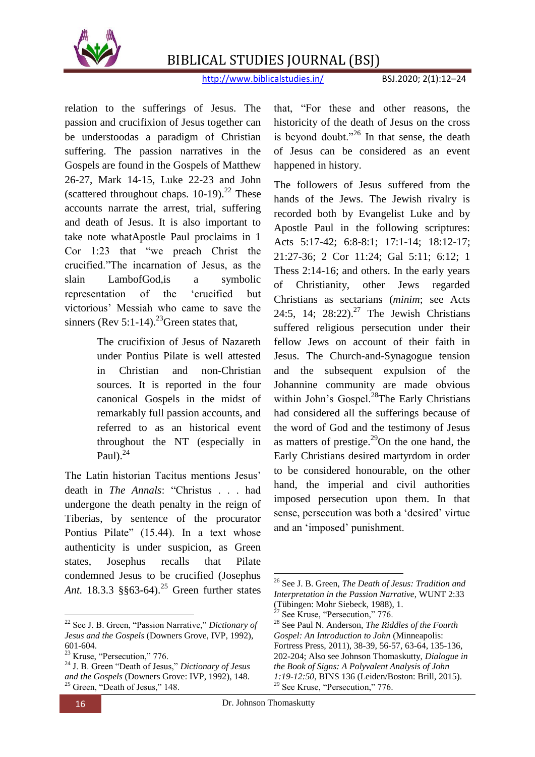

http://www.biblicalstudies.in/ BSJ.2020; 2(1):12–24

relation to the sufferings of Jesus. The passion and crucifixion of Jesus together can be understoodas a paradigm of Christian suffering. The passion narratives in the Gospels are found in the Gospels of Matthew 26-27, Mark 14-15, Luke 22-23 and John (scattered throughout chaps.  $10-19$ ).<sup>22</sup> These accounts narrate the arrest, trial, suffering and death of Jesus. It is also important to take note whatApostle Paul proclaims in 1 Cor 1:23 that "we preach Christ the crucified."The incarnation of Jesus, as the slain LambofGod,is a symbolic representation of the "crucified but victorious" Messiah who came to save the sinners (Rev 5:1-14).<sup>23</sup>Green states that,

> The crucifixion of Jesus of Nazareth under Pontius Pilate is well attested in Christian and non-Christian sources. It is reported in the four canonical Gospels in the midst of remarkably full passion accounts, and referred to as an historical event throughout the NT (especially in Paul $)$ .<sup>24</sup>

The Latin historian Tacitus mentions Jesus' death in *The Annals*: "Christus . . . had undergone the death penalty in the reign of Tiberias, by sentence of the procurator Pontius Pilate" (15.44). In a text whose authenticity is under suspicion, as Green states, Josephus recalls that Pilate condemned Jesus to be crucified (Josephus Ant. 18.3.3 §§63-64).<sup>25</sup> Green further states

**.** 

that, "For these and other reasons, the historicity of the death of Jesus on the cross is beyond doubt."<sup>26</sup> In that sense, the death of Jesus can be considered as an event happened in history.

The followers of Jesus suffered from the hands of the Jews. The Jewish rivalry is recorded both by Evangelist Luke and by Apostle Paul in the following scriptures: Acts 5:17-42; 6:8-8:1; 17:1-14; 18:12-17; 21:27-36; 2 Cor 11:24; Gal 5:11; 6:12; 1 Thess 2:14-16; and others. In the early years of Christianity, other Jews regarded Christians as sectarians (*minim*; see Acts 24:5, 14;  $28:22$ ).<sup>27</sup> The Jewish Christians suffered religious persecution under their fellow Jews on account of their faith in Jesus. The Church-and-Synagogue tension and the subsequent expulsion of the Johannine community are made obvious within John's Gospel.<sup>28</sup>The Early Christians had considered all the sufferings because of the word of God and the testimony of Jesus as matters of prestige.<sup>29</sup>On the one hand, the Early Christians desired martyrdom in order to be considered honourable, on the other hand, the imperial and civil authorities imposed persecution upon them. In that sense, persecution was both a 'desired' virtue and an "imposed" punishment.

<sup>22</sup> See J. B. Green, "Passion Narrative," *Dictionary of Jesus and the Gospels* (Downers Grove, IVP, 1992), 601-604.

<sup>&</sup>lt;sup>23</sup> Kruse, "Persecution," 776.

<sup>24</sup> J. B. Green "Death of Jesus," *Dictionary of Jesus and the Gospels* (Downers Grove: IVP, 1992), 148.  $25$  Green, "Death of Jesus," 148.

<sup>1</sup> <sup>26</sup> See J. B. Green, *The Death of Jesus: Tradition and Interpretation in the Passion Narrative*, WUNT 2:33 (Tübingen: Mohr Siebeck, 1988), 1.

 $27$  See Kruse, "Persecution," 776.

<sup>28</sup> See Paul N. Anderson, *The Riddles of the Fourth Gospel: An Introduction to John* (Minneapolis: Fortress Press, 2011), 38-39, 56-57, 63-64, 135-136, 202-204; Also see Johnson Thomaskutty, *Dialogue in the Book of Signs: A Polyvalent Analysis of John 1:19-12:50*, BINS 136 (Leiden/Boston: Brill, 2015). <sup>29</sup> See Kruse, "Persecution," 776.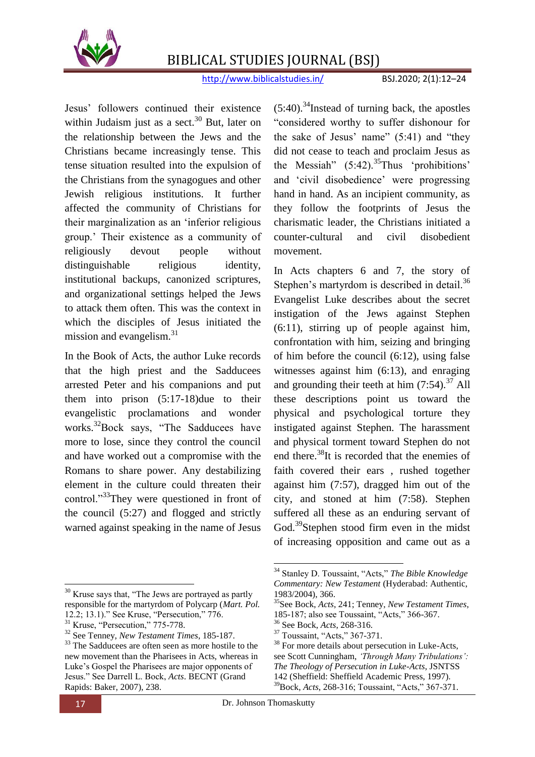

http://www.biblicalstudies.in/ BSJ.2020; 2(1):12–24

Jesus" followers continued their existence within Judaism just as a sect. $30$  But, later on the relationship between the Jews and the Christians became increasingly tense. This tense situation resulted into the expulsion of the Christians from the synagogues and other Jewish religious institutions. It further affected the community of Christians for their marginalization as an "inferior religious group." Their existence as a community of religiously devout people without distinguishable religious identity, institutional backups, canonized scriptures, and organizational settings helped the Jews to attack them often. This was the context in which the disciples of Jesus initiated the mission and evangelism. $31$ 

In the Book of Acts, the author Luke records that the high priest and the Sadducees arrested Peter and his companions and put them into prison (5:17-18)due to their evangelistic proclamations and wonder works.<sup>32</sup>Bock says, "The Sadducees have more to lose, since they control the council and have worked out a compromise with the Romans to share power. Any destabilizing element in the culture could threaten their control."<sup>33</sup>They were questioned in front of the council (5:27) and flogged and strictly warned against speaking in the name of Jesus

**.** <sup>30</sup> Kruse says that, "The Jews are portrayed as partly responsible for the martyrdom of Polycarp (*Mart. Pol.* 12.2; 13.1)." See Kruse, "Persecution," 776.

 $(5:40)$ .<sup>34</sup>Instead of turning back, the apostles "considered worthy to suffer dishonour for the sake of Jesus' name"  $(5:41)$  and "they" did not cease to teach and proclaim Jesus as the Messiah"  $(5:42)$ .<sup>35</sup>Thus 'prohibitions' and "civil disobedience" were progressing hand in hand. As an incipient community, as they follow the footprints of Jesus the charismatic leader, the Christians initiated a counter-cultural and civil disobedient movement.

In Acts chapters 6 and 7, the story of Stephen's martyrdom is described in detail.<sup>36</sup> Evangelist Luke describes about the secret instigation of the Jews against Stephen (6:11), stirring up of people against him, confrontation with him, seizing and bringing of him before the council (6:12), using false witnesses against him (6:13), and enraging and grounding their teeth at him  $(7:54)$ .<sup>37</sup> All these descriptions point us toward the physical and psychological torture they instigated against Stephen. The harassment and physical torment toward Stephen do not end there.<sup>38</sup>It is recorded that the enemies of faith covered their ears , rushed together against him (7:57), dragged him out of the city, and stoned at him (7:58). Stephen suffered all these as an enduring servant of God.<sup>39</sup>Stephen stood firm even in the midst of increasing opposition and came out as a

 $\overline{a}$ 

 $31$  Kruse, "Persecution," 775-778.

<sup>32</sup> See Tenney, *New Testament Times*, 185-187.

<sup>&</sup>lt;sup>33</sup> The Sadducees are often seen as more hostile to the new movement than the Pharisees in Acts, whereas in Luke"s Gospel the Pharisees are major opponents of Jesus." See Darrell L. Bock, *Acts*. BECNT (Grand Rapids: Baker, 2007), 238.

<sup>34</sup> Stanley D. Toussaint, "Acts," *The Bible Knowledge Commentary: New Testament* (Hyderabad: Authentic, 1983/2004), 366.

<sup>35</sup>See Bock, *Acts*, 241; Tenney, *New Testament Times*, 185-187; also see Toussaint, "Acts," 366-367.

<sup>36</sup> See Bock, *Acts*, 268-316.

<sup>&</sup>lt;sup>37</sup> Toussaint, "Acts," 367-371.

<sup>&</sup>lt;sup>38</sup> For more details about persecution in Luke-Acts, see Scott Cunningham, *'Through Many Tribulations': The Theology of Persecution in Luke-Acts*, JSNTSS 142 (Sheffield: Sheffield Academic Press, 1997). <sup>39</sup>Bock, *Acts*, 268-316; Toussaint, "Acts," 367-371.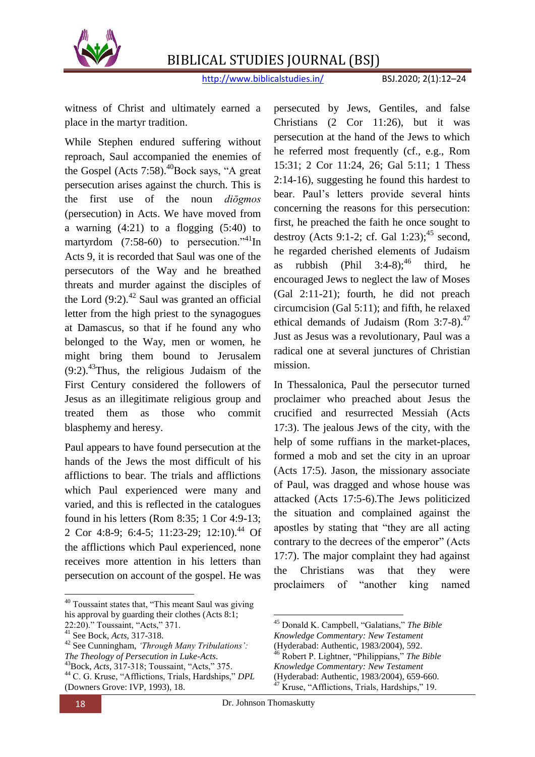

http://www.biblicalstudies.in/ BSJ.2020; 2(1):12–24

witness of Christ and ultimately earned a place in the martyr tradition.

While Stephen endured suffering without reproach, Saul accompanied the enemies of the Gospel (Acts  $7:58$ ).<sup>40</sup>Bock says, "A great persecution arises against the church. This is the first use of the noun *diōgmos* (persecution) in Acts. We have moved from a warning  $(4:21)$  to a flogging  $(5:40)$  to martyrdom  $(7:58-60)$  to persecution."<sup>41</sup>In Acts 9, it is recorded that Saul was one of the persecutors of the Way and he breathed threats and murder against the disciples of the Lord  $(9:2)$ .<sup>42</sup> Saul was granted an official letter from the high priest to the synagogues at Damascus, so that if he found any who belonged to the Way, men or women, he might bring them bound to Jerusalem  $(9:2)$ .<sup>43</sup>Thus, the religious Judaism of the First Century considered the followers of Jesus as an illegitimate religious group and treated them as those who commit blasphemy and heresy.

Paul appears to have found persecution at the hands of the Jews the most difficult of his afflictions to bear. The trials and afflictions which Paul experienced were many and varied, and this is reflected in the catalogues found in his letters (Rom 8:35; 1 Cor 4:9-13; 2 Cor 4:8-9; 6:4-5; 11:23-29; 12:10).<sup>44</sup> Of the afflictions which Paul experienced, none receives more attention in his letters than persecution on account of the gospel. He was

 $\overline{a}$ 

persecuted by Jews, Gentiles, and false Christians (2 Cor 11:26), but it was persecution at the hand of the Jews to which he referred most frequently (cf., e.g., Rom 15:31; 2 Cor 11:24, 26; Gal 5:11; 1 Thess 2:14-16), suggesting he found this hardest to bear. Paul"s letters provide several hints concerning the reasons for this persecution: first, he preached the faith he once sought to destroy (Acts 9:1-2; cf. Gal 1:23): $45$  second, he regarded cherished elements of Judaism as rubbish (Phil  $3:4-8$ ):<sup>46</sup> third, he encouraged Jews to neglect the law of Moses (Gal 2:11-21); fourth, he did not preach circumcision (Gal 5:11); and fifth, he relaxed ethical demands of Judaism (Rom  $3:7-8$ ).<sup>47</sup> Just as Jesus was a revolutionary, Paul was a radical one at several junctures of Christian mission.

In Thessalonica, Paul the persecutor turned proclaimer who preached about Jesus the crucified and resurrected Messiah (Acts 17:3). The jealous Jews of the city, with the help of some ruffians in the market-places, formed a mob and set the city in an uproar (Acts 17:5). Jason, the missionary associate of Paul, was dragged and whose house was attacked (Acts 17:5-6).The Jews politicized the situation and complained against the apostles by stating that "they are all acting contrary to the decrees of the emperor" (Acts 17:7). The major complaint they had against the Christians was that they were proclaimers of "another king named

<sup>40</sup> Toussaint states that, "This meant Saul was giving his approval by guarding their clothes (Acts 8:1; 22:20)." Toussaint, "Acts," 371.

<sup>41</sup> See Bock, *Acts*, 317-318.

<sup>42</sup> See Cunningham, *'Through Many Tribulations': The Theology of Persecution in Luke-Acts*. <sup>43</sup>Bock, *Acts*, 317-318; Toussaint, "Acts," 375. <sup>44</sup> C. G. Kruse, "Afflictions, Trials, Hardships," *DPL* (Downers Grove: IVP, 1993), 18.

<sup>45</sup> Donald K. Campbell, "Galatians," *The Bible Knowledge Commentary: New Testament*

<sup>(</sup>Hyderabad: Authentic, 1983/2004), 592.

<sup>46</sup> Robert P. Lightner, "Philippians," *The Bible* 

*Knowledge Commentary: New Testament*

<sup>(</sup>Hyderabad: Authentic, 1983/2004), 659-660.

 $47$  Kruse, "Afflictions, Trials, Hardships," 19.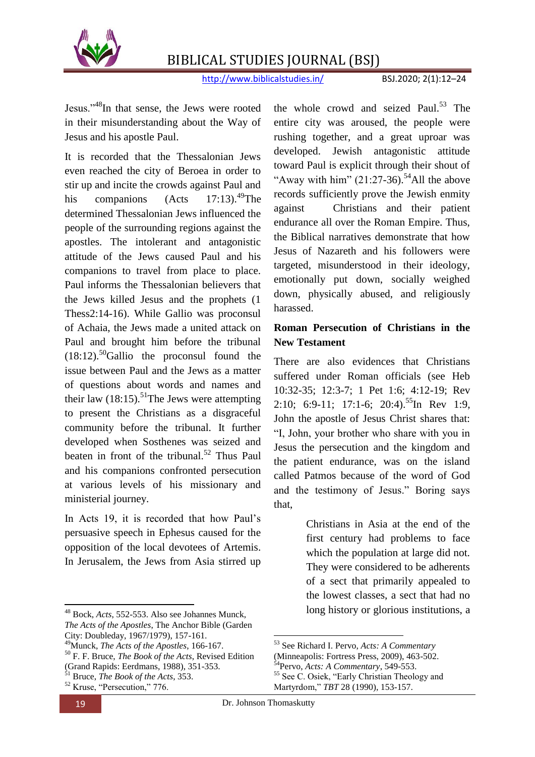

http://www.biblicalstudies.in/ BSJ.2020; 2(1):12–24

Jesus."<sup>48</sup>In that sense, the Jews were rooted in their misunderstanding about the Way of Jesus and his apostle Paul.

It is recorded that the Thessalonian Jews even reached the city of Beroea in order to stir up and incite the crowds against Paul and his companions  $(Acts 17:13).<sup>49</sup>$ The determined Thessalonian Jews influenced the people of the surrounding regions against the apostles. The intolerant and antagonistic attitude of the Jews caused Paul and his companions to travel from place to place. Paul informs the Thessalonian believers that the Jews killed Jesus and the prophets (1 Thess2:14-16). While Gallio was proconsul of Achaia, the Jews made a united attack on Paul and brought him before the tribunal  $(18:12)$ <sup>50</sup>Gallio the proconsul found the issue between Paul and the Jews as a matter of questions about words and names and their law  $(18:15)$ .<sup>51</sup>The Jews were attempting to present the Christians as a disgraceful community before the tribunal. It further developed when Sosthenes was seized and beaten in front of the tribunal.<sup>52</sup> Thus Paul and his companions confronted persecution at various levels of his missionary and ministerial journey.

In Acts 19, it is recorded that how Paul"s persuasive speech in Ephesus caused for the opposition of the local devotees of Artemis. In Jerusalem, the Jews from Asia stirred up

<sup>49</sup>Munck, *The Acts of the Apostles*, 166-167.

the whole crowd and seized Paul. $53$  The entire city was aroused, the people were rushing together, and a great uproar was developed. Jewish antagonistic attitude toward Paul is explicit through their shout of "Away with him"  $(21:27-36)$ .<sup>54</sup>All the above records sufficiently prove the Jewish enmity against Christians and their patient endurance all over the Roman Empire. Thus, the Biblical narratives demonstrate that how Jesus of Nazareth and his followers were targeted, misunderstood in their ideology, emotionally put down, socially weighed down, physically abused, and religiously harassed.

#### **Roman Persecution of Christians in the New Testament**

There are also evidences that Christians suffered under Roman officials (see Heb 10:32-35; 12:3-7; 1 Pet 1:6; 4:12-19; Rev 2:10; 6:9-11; 17:1-6; 20:4).<sup>55</sup>In Rev 1:9, John the apostle of Jesus Christ shares that: "I, John, your brother who share with you in Jesus the persecution and the kingdom and the patient endurance, was on the island called Patmos because of the word of God and the testimony of Jesus." Boring says that,

> Christians in Asia at the end of the first century had problems to face which the population at large did not. They were considered to be adherents of a sect that primarily appealed to the lowest classes, a sect that had no long history or glorious institutions, a

**<sup>.</sup>** <sup>48</sup> Bock, *Acts*, 552-553. Also see Johannes Munck, *The Acts of the Apostles*, The Anchor Bible (Garden City: Doubleday, 1967/1979), 157-161.

<sup>50</sup> F. F. Bruce, *The Book of the Acts*, Revised Edition (Grand Rapids: Eerdmans, 1988), 351-353.<br> $\overline{\text{S1}}$ .

<sup>51</sup> Bruce, *The Book of the Acts*, 353.

<sup>53</sup> See Richard I. Pervo, *Acts: A Commentary*

<sup>(</sup>Minneapolis: Fortress Press, 2009), 463-502.

<sup>54</sup>Pervo, *Acts: A Commentary*, 549-553.

<sup>&</sup>lt;sup>55</sup> See C. Osiek, "Early Christian Theology and Martyrdom," *TBT* 28 (1990), 153-157.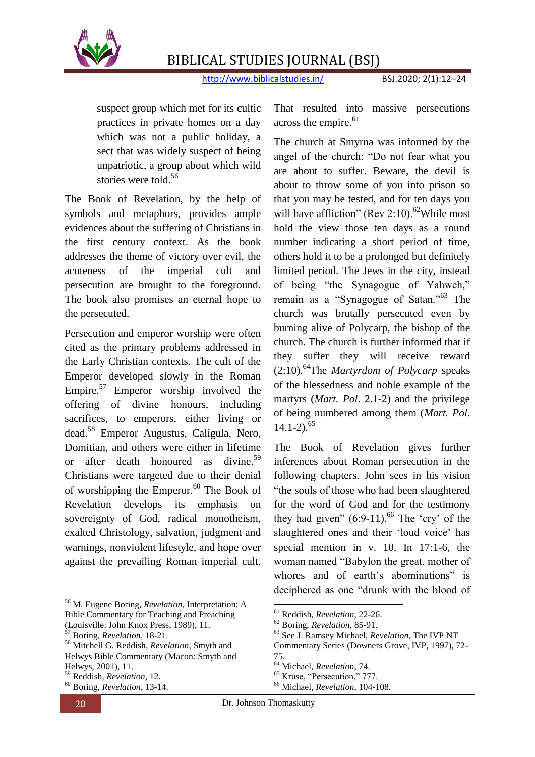

http://www.biblicalstudies.in/ BSJ.2020; 2(1):12–24

suspect group which met for its cultic practices in private homes on a day which was not a public holiday, a sect that was widely suspect of being unpatriotic, a group about which wild stories were told.<sup>56</sup>

The Book of Revelation, by the help of symbols and metaphors, provides ample evidences about the suffering of Christians in the first century context. As the book addresses the theme of victory over evil, the acuteness of the imperial cult and persecution are brought to the foreground. The book also promises an eternal hope to the persecuted.

Persecution and emperor worship were often cited as the primary problems addressed in the Early Christian contexts. The cult of the Emperor developed slowly in the Roman Empire.<sup>57</sup> Emperor worship involved the offering of divine honours, including sacrifices, to emperors, either living or dead.<sup>58</sup> Emperor Augustus, Caligula, Nero, Domitian, and others were either in lifetime or after death honoured as divine.<sup>59</sup> Christians were targeted due to their denial of worshipping the Emperor. $^{60}$  The Book of Revelation develops its emphasis on sovereignty of God, radical monotheism, exalted Christology, salvation, judgment and warnings, nonviolent lifestyle, and hope over against the prevailing Roman imperial cult.

 $\overline{a}$ 

That resulted into massive persecutions across the empire.<sup>61</sup>

The church at Smyrna was informed by the angel of the church: "Do not fear what you are about to suffer. Beware, the devil is about to throw some of you into prison so that you may be tested, and for ten days you will have affliction" (Rev 2:10).<sup>62</sup>While most hold the view those ten days as a round number indicating a short period of time, others hold it to be a prolonged but definitely limited period. The Jews in the city, instead of being "the Synagogue of Yahweh," remain as a "Synagogue of Satan."<sup>63</sup> The church was brutally persecuted even by burning alive of Polycarp, the bishop of the church. The church is further informed that if they suffer they will receive reward (2:10).<sup>64</sup>The *Martyrdom of Polycarp* speaks of the blessedness and noble example of the martyrs (*Mart. Pol*. 2.1-2) and the privilege of being numbered among them (*Mart. Pol*.  $14.1 - 2$ ).<sup>65</sup>

The Book of Revelation gives further inferences about Roman persecution in the following chapters. John sees in his vision "the souls of those who had been slaughtered for the word of God and for the testimony they had given"  $(6:9-11)$ .<sup>66</sup> The 'cry' of the slaughtered ones and their 'loud voice' has special mention in v. 10. In 17:1-6, the woman named "Babylon the great, mother of whores and of earth's abominations" is deciphered as one "drunk with the blood of

<sup>56</sup> M. Eugene Boring, *Revelation*, Interpretation: A Bible Commentary for Teaching and Preaching

<sup>(</sup>Louisville: John Knox Press, 1989), 11.

<sup>57</sup> Boring, *Revelation*, 18-21.

<sup>58</sup> Mitchell G. Reddish, *Revelation*, Smyth and Helwys Bible Commentary (Macon: Smyth and Helwys, 2001), 11.

<sup>59</sup> Reddish, *Revelation*, 12. <sup>60</sup> Boring, *Revelation*, 13-14.

<sup>61</sup> Reddish, *Revelation*, 22-26.

<sup>62</sup> Boring, *Revelation*, 85-91.

<sup>63</sup> See J. Ramsey Michael, *Revelation*, The IVP NT

Commentary Series (Downers Grove, IVP, 1997), 72- 75.

<sup>64</sup> Michael, *Revelation*, 74.

<sup>&</sup>lt;sup>65</sup> Kruse, "Persecution," 777.

<sup>66</sup> Michael, *Revelation*, 104-108.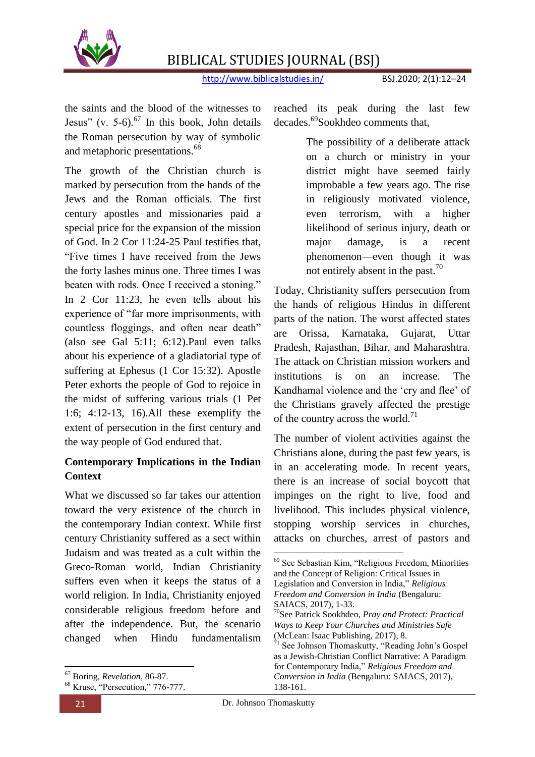

http://www.biblicalstudies.in/ BSJ.2020; 2(1):12–24

the saints and the blood of the witnesses to Jesus" (v. 5-6). $^{67}$  In this book, John details the Roman persecution by way of symbolic and metaphoric presentations.<sup>68</sup>

The growth of the Christian church is marked by persecution from the hands of the Jews and the Roman officials. The first century apostles and missionaries paid a special price for the expansion of the mission of God. In 2 Cor 11:24-25 Paul testifies that, "Five times I have received from the Jews the forty lashes minus one. Three times I was beaten with rods. Once I received a stoning." In 2 Cor 11:23, he even tells about his experience of "far more imprisonments, with countless floggings, and often near death" (also see Gal 5:11; 6:12).Paul even talks about his experience of a gladiatorial type of suffering at Ephesus (1 Cor 15:32). Apostle Peter exhorts the people of God to rejoice in the midst of suffering various trials (1 Pet 1:6; 4:12-13, 16).All these exemplify the extent of persecution in the first century and the way people of God endured that.

#### **Contemporary Implications in the Indian Context**

What we discussed so far takes our attention toward the very existence of the church in the contemporary Indian context. While first century Christianity suffered as a sect within Judaism and was treated as a cult within the Greco-Roman world, Indian Christianity suffers even when it keeps the status of a world religion. In India, Christianity enjoyed considerable religious freedom before and after the independence. But, the scenario changed when Hindu fundamentalism reached its peak during the last few decades.<sup>69</sup>Sookhdeo comments that,

> The possibility of a deliberate attack on a church or ministry in your district might have seemed fairly improbable a few years ago. The rise in religiously motivated violence, even terrorism, with a higher likelihood of serious injury, death or major damage, is a recent phenomenon—even though it was not entirely absent in the past.<sup>70</sup>

Today, Christianity suffers persecution from the hands of religious Hindus in different parts of the nation. The worst affected states are Orissa, Karnataka, Gujarat, Uttar Pradesh, Rajasthan, Bihar, and Maharashtra. The attack on Christian mission workers and institutions is on an increase. The Kandhamal violence and the 'cry and flee' of the Christians gravely affected the prestige of the country across the world.<sup>71</sup>

The number of violent activities against the Christians alone, during the past few years, is in an accelerating mode. In recent years, there is an increase of social boycott that impinges on the right to live, food and livelihood. This includes physical violence, stopping worship services in churches, attacks on churches, arrest of pastors and

**<sup>.</sup>** <sup>67</sup> Boring, *Revelation*, 86-87.

<sup>68</sup> Kruse, "Persecution," 776-777.

<sup>69</sup> See Sebastian Kim, "Religious Freedom, Minorities and the Concept of Religion: Critical Issues in Legislation and Conversion in India," *Religious Freedom and Conversion in India* (Bengaluru: SAIACS, 2017), 1-33.

<sup>70</sup>See Patrick Sookhdeo, *Pray and Protect: Practical Ways to Keep Your Churches and Ministries Safe*  (McLean: Isaac Publishing, 2017), 8.

See Johnson Thomaskutty, "Reading John's Gospel as a Jewish-Christian Conflict Narrative: A Paradigm for Contemporary India," *Religious Freedom and Conversion in India* (Bengaluru: SAIACS, 2017), 138-161.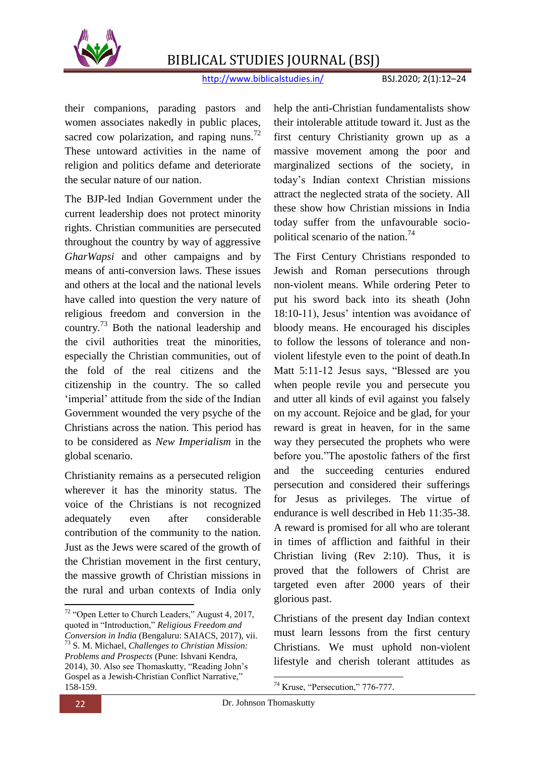

http://www.biblicalstudies.in/ BSJ.2020; 2(1):12–24

their companions, parading pastors and women associates nakedly in public places, sacred cow polarization, and raping nuns.<sup>72</sup> These untoward activities in the name of religion and politics defame and deteriorate the secular nature of our nation.

The BJP-led Indian Government under the current leadership does not protect minority rights. Christian communities are persecuted throughout the country by way of aggressive *GharWapsi* and other campaigns and by means of anti-conversion laws. These issues and others at the local and the national levels have called into question the very nature of religious freedom and conversion in the country.<sup>73</sup> Both the national leadership and the civil authorities treat the minorities, especially the Christian communities, out of the fold of the real citizens and the citizenship in the country. The so called 'imperial' attitude from the side of the Indian Government wounded the very psyche of the Christians across the nation. This period has to be considered as *New Imperialism* in the global scenario.

Christianity remains as a persecuted religion wherever it has the minority status. The voice of the Christians is not recognized adequately even after considerable contribution of the community to the nation. Just as the Jews were scared of the growth of the Christian movement in the first century, the massive growth of Christian missions in the rural and urban contexts of India only

help the anti-Christian fundamentalists show their intolerable attitude toward it. Just as the first century Christianity grown up as a massive movement among the poor and marginalized sections of the society, in today"s Indian context Christian missions attract the neglected strata of the society. All these show how Christian missions in India today suffer from the unfavourable sociopolitical scenario of the nation.<sup>74</sup>

The First Century Christians responded to Jewish and Roman persecutions through non-violent means. While ordering Peter to put his sword back into its sheath (John 18:10-11), Jesus" intention was avoidance of bloody means. He encouraged his disciples to follow the lessons of tolerance and nonviolent lifestyle even to the point of death.In Matt 5:11-12 Jesus says, "Blessed are you when people revile you and persecute you and utter all kinds of evil against you falsely on my account. Rejoice and be glad, for your reward is great in heaven, for in the same way they persecuted the prophets who were before you."The apostolic fathers of the first and the succeeding centuries endured persecution and considered their sufferings for Jesus as privileges. The virtue of endurance is well described in Heb 11:35-38. A reward is promised for all who are tolerant in times of affliction and faithful in their Christian living (Rev 2:10). Thus, it is proved that the followers of Christ are targeted even after 2000 years of their glorious past.

Christians of the present day Indian context must learn lessons from the first century Christians. We must uphold non-violent lifestyle and cherish tolerant attitudes as

1

**.** 

 $72$  "Open Letter to Church Leaders," August 4, 2017, quoted in "Introduction," *Religious Freedom and Conversion in India* (Bengaluru: SAIACS, 2017), vii. <sup>73</sup> S. M. Michael, *Challenges to Christian Mission: Problems and Prospects* (Pune: Ishvani Kendra, 2014), 30. Also see Thomaskutty, "Reading John"s Gospel as a Jewish-Christian Conflict Narrative." 158-159.

 $74$  Kruse, "Persecution," 776-777.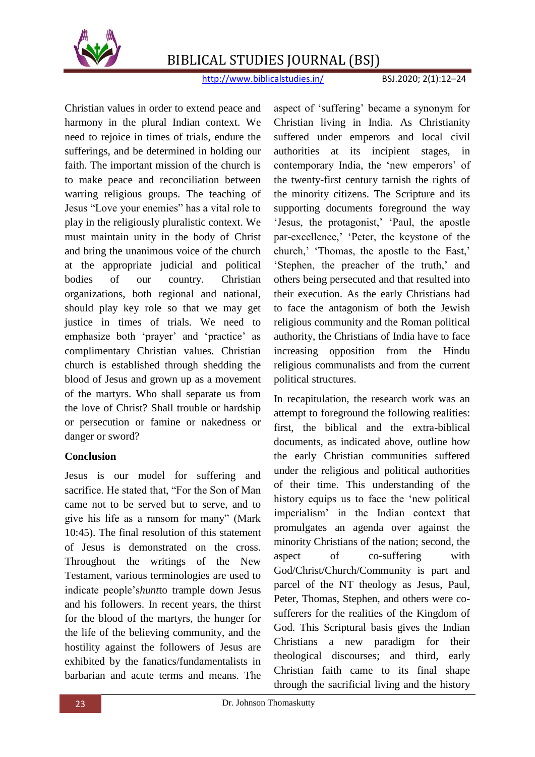

http://www.biblicalstudies.in/ BSJ.2020; 2(1):12–24

Christian values in order to extend peace and harmony in the plural Indian context. We need to rejoice in times of trials, endure the sufferings, and be determined in holding our faith. The important mission of the church is to make peace and reconciliation between warring religious groups. The teaching of Jesus "Love your enemies" has a vital role to play in the religiously pluralistic context. We must maintain unity in the body of Christ and bring the unanimous voice of the church at the appropriate judicial and political bodies of our country. Christian organizations, both regional and national, should play key role so that we may get justice in times of trials. We need to emphasize both 'prayer' and 'practice' as complimentary Christian values. Christian church is established through shedding the blood of Jesus and grown up as a movement of the martyrs. Who shall separate us from the love of Christ? Shall trouble or hardship or persecution or famine or nakedness or danger or sword?

#### **Conclusion**

Jesus is our model for suffering and sacrifice. He stated that, "For the Son of Man came not to be served but to serve, and to give his life as a ransom for many" (Mark 10:45). The final resolution of this statement of Jesus is demonstrated on the cross. Throughout the writings of the New Testament, various terminologies are used to indicate people"s*hunt*to trample down Jesus and his followers. In recent years, the thirst for the blood of the martyrs, the hunger for the life of the believing community, and the hostility against the followers of Jesus are exhibited by the fanatics/fundamentalists in barbarian and acute terms and means. The aspect of "suffering" became a synonym for Christian living in India. As Christianity suffered under emperors and local civil authorities at its incipient stages, in contemporary India, the 'new emperors' of the twenty-first century tarnish the rights of the minority citizens. The Scripture and its supporting documents foreground the way "Jesus, the protagonist," "Paul, the apostle par-excellence," "Peter, the keystone of the church," "Thomas, the apostle to the East," 'Stephen, the preacher of the truth,' and others being persecuted and that resulted into their execution. As the early Christians had to face the antagonism of both the Jewish religious community and the Roman political authority, the Christians of India have to face increasing opposition from the Hindu religious communalists and from the current political structures.

In recapitulation, the research work was an attempt to foreground the following realities: first, the biblical and the extra-biblical documents, as indicated above, outline how the early Christian communities suffered under the religious and political authorities of their time. This understanding of the history equips us to face the "new political imperialism" in the Indian context that promulgates an agenda over against the minority Christians of the nation; second, the aspect of co-suffering with God/Christ/Church/Community is part and parcel of the NT theology as Jesus, Paul, Peter, Thomas, Stephen, and others were cosufferers for the realities of the Kingdom of God. This Scriptural basis gives the Indian Christians a new paradigm for their theological discourses; and third, early Christian faith came to its final shape through the sacrificial living and the history